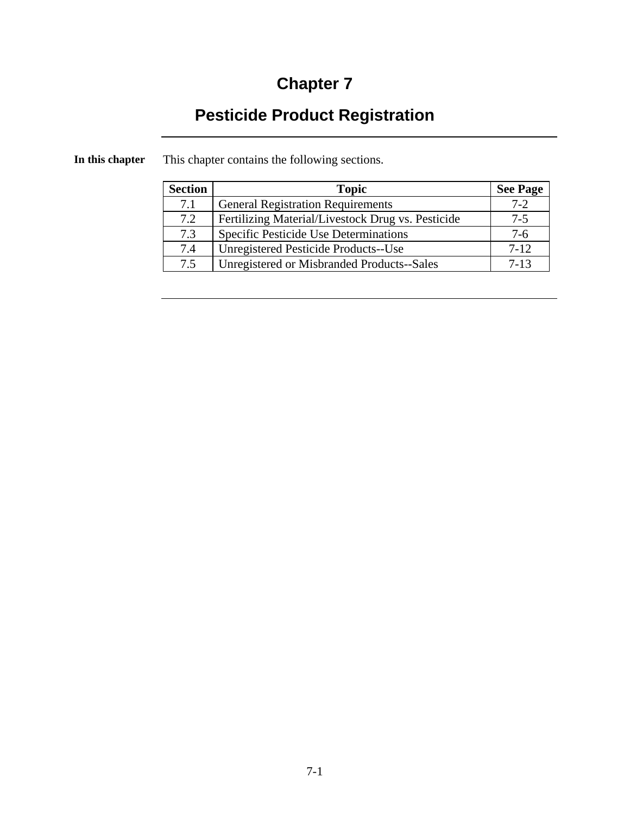# **Chapter 7**

## **Pesticide Product Registration**

| <b>Section</b> | <b>Topic</b>                                      | <b>See Page</b> |
|----------------|---------------------------------------------------|-----------------|
| 7.1            | <b>General Registration Requirements</b>          | $7 - 2$         |
| 7.2            | Fertilizing Material/Livestock Drug vs. Pesticide | $7-5$           |
| 7.3            | Specific Pesticide Use Determinations             | 7-6             |
| 7.4            | Unregistered Pesticide Products--Use              | $7 - 12$        |
| 7.5            | Unregistered or Misbranded Products--Sales        | $7 - 13$        |

**In this chapter** This chapter contains the following sections.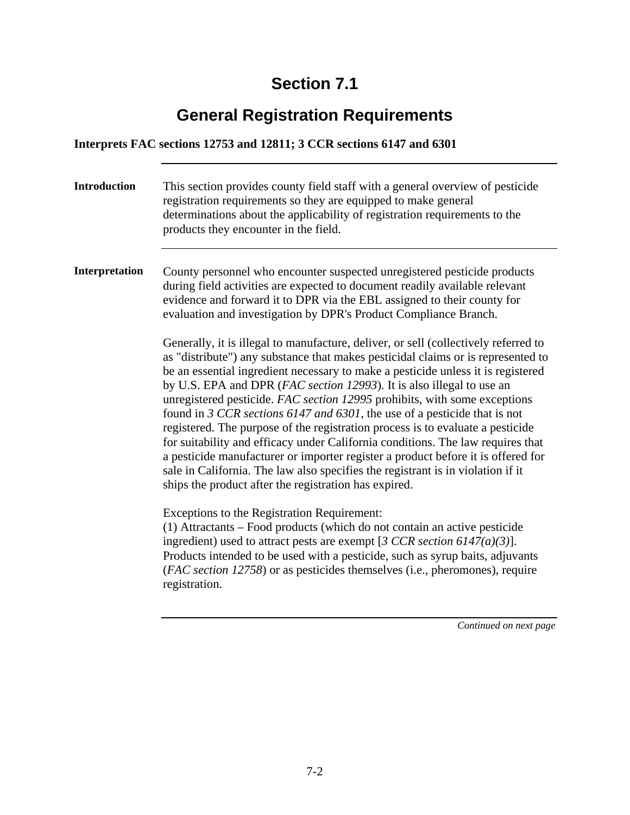## **General Registration Requirements**

#### **Interprets FAC sections 12753 and 12811; 3 CCR sections 6147 and 6301**

| <b>Introduction</b> | This section provides county field staff with a general overview of pesticide<br>registration requirements so they are equipped to make general<br>determinations about the applicability of registration requirements to the<br>products they encounter in the field.                                                                                                                                                                                                                                                                                                                                                                                                                                                                                                                                                                                                                                                                                                                                                                                                                                                                                                                                                                                                                                                                                                                                                                                                                                                                                                                                 |
|---------------------|--------------------------------------------------------------------------------------------------------------------------------------------------------------------------------------------------------------------------------------------------------------------------------------------------------------------------------------------------------------------------------------------------------------------------------------------------------------------------------------------------------------------------------------------------------------------------------------------------------------------------------------------------------------------------------------------------------------------------------------------------------------------------------------------------------------------------------------------------------------------------------------------------------------------------------------------------------------------------------------------------------------------------------------------------------------------------------------------------------------------------------------------------------------------------------------------------------------------------------------------------------------------------------------------------------------------------------------------------------------------------------------------------------------------------------------------------------------------------------------------------------------------------------------------------------------------------------------------------------|
| Interpretation      | County personnel who encounter suspected unregistered pesticide products<br>during field activities are expected to document readily available relevant<br>evidence and forward it to DPR via the EBL assigned to their county for<br>evaluation and investigation by DPR's Product Compliance Branch.<br>Generally, it is illegal to manufacture, deliver, or sell (collectively referred to<br>as "distribute") any substance that makes pesticidal claims or is represented to<br>be an essential ingredient necessary to make a pesticide unless it is registered<br>by U.S. EPA and DPR (FAC section 12993). It is also illegal to use an<br>unregistered pesticide. FAC section 12995 prohibits, with some exceptions<br>found in 3 CCR sections 6147 and 6301, the use of a pesticide that is not<br>registered. The purpose of the registration process is to evaluate a pesticide<br>for suitability and efficacy under California conditions. The law requires that<br>a pesticide manufacturer or importer register a product before it is offered for<br>sale in California. The law also specifies the registrant is in violation if it<br>ships the product after the registration has expired.<br>Exceptions to the Registration Requirement:<br>(1) Attractants – Food products (which do not contain an active pesticide<br>ingredient) used to attract pests are exempt [3 CCR section 6147(a)(3)].<br>Products intended to be used with a pesticide, such as syrup baits, adjuvants<br>(FAC section 12758) or as pesticides themselves (i.e., pheromones), require<br>registration. |
|                     |                                                                                                                                                                                                                                                                                                                                                                                                                                                                                                                                                                                                                                                                                                                                                                                                                                                                                                                                                                                                                                                                                                                                                                                                                                                                                                                                                                                                                                                                                                                                                                                                        |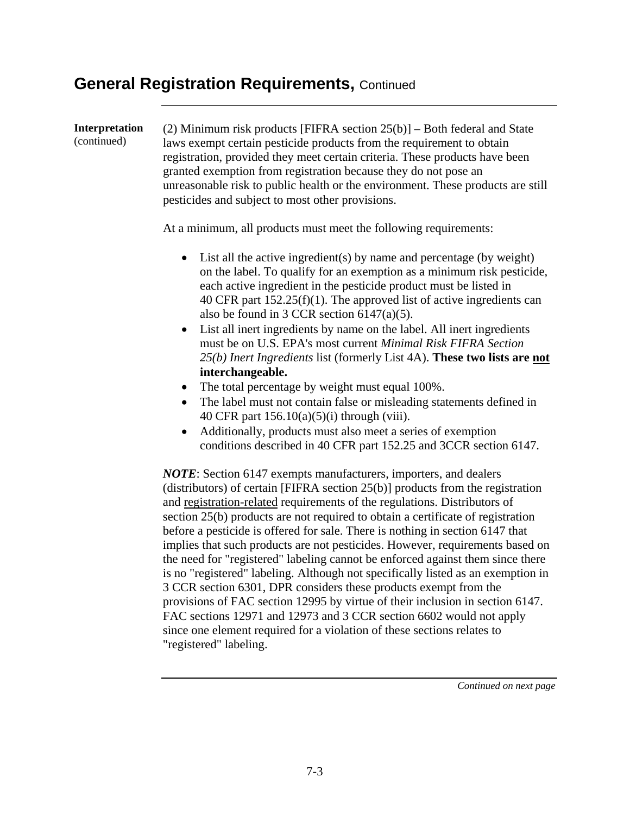#### **General Registration Requirements,** Continued

**Interpretation**  (continued) (2) Minimum risk products [FIFRA section 25(b)] – Both federal and State laws exempt certain pesticide products from the requirement to obtain registration, provided they meet certain criteria. These products have been granted exemption from registration because they do not pose an unreasonable risk to public health or the environment. These products are still pesticides and subject to most other provisions. At a minimum, all products must meet the following requirements: • List all the active ingredient(s) by name and percentage (by weight) on the label. To qualify for an exemption as a minimum risk pesticide, each active ingredient in the pesticide product must be listed in 40 CFR part 152.25(f)(1). The approved list of active ingredients can also be found in 3 CCR section 6147(a)(5). • List all inert ingredients by name on the label. All inert ingredients must be on U.S. EPA's most current *Minimal Risk FIFRA Section 25(b) Inert Ingredients* list (formerly List 4A). **These two lists are not interchangeable.** • The total percentage by weight must equal 100%. • The label must not contain false or misleading statements defined in 40 CFR part 156.10(a)(5)(i) through (viii). • Additionally, products must also meet a series of exemption conditions described in 40 CFR part 152.25 and 3CCR section 6147. *NOTE*: Section 6147 exempts manufacturers, importers, and dealers (distributors) of certain [FIFRA section 25(b)] products from the registration and registration-related requirements of the regulations. Distributors of section 25(b) products are not required to obtain a certificate of registration before a pesticide is offered for sale. There is nothing in section 6147 that implies that such products are not pesticides. However, requirements based on the need for "registered" labeling cannot be enforced against them since there is no "registered" labeling. Although not specifically listed as an exemption in 3 CCR section 6301, DPR considers these products exempt from the provisions of FAC section 12995 by virtue of their inclusion in section 6147. FAC sections 12971 and 12973 and 3 CCR section 6602 would not apply since one element required for a violation of these sections relates to

"registered" labeling.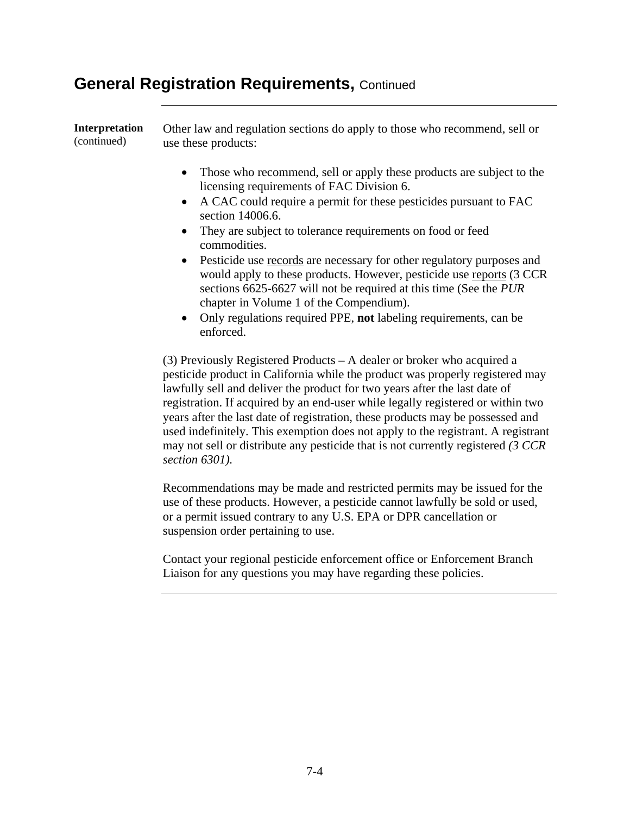#### **General Registration Requirements,** Continued

| Interpretation<br>(continued) | Other law and regulation sections do apply to those who recommend, sell or<br>use these products:                                                                                                                                                                                                                                                                                                                                                                                                                                                                                                                                                                                           |
|-------------------------------|---------------------------------------------------------------------------------------------------------------------------------------------------------------------------------------------------------------------------------------------------------------------------------------------------------------------------------------------------------------------------------------------------------------------------------------------------------------------------------------------------------------------------------------------------------------------------------------------------------------------------------------------------------------------------------------------|
|                               | Those who recommend, sell or apply these products are subject to the<br>٠<br>licensing requirements of FAC Division 6.<br>A CAC could require a permit for these pesticides pursuant to FAC<br>$\bullet$<br>section 14006.6.<br>They are subject to tolerance requirements on food or feed<br>٠<br>commodities.<br>Pesticide use records are necessary for other regulatory purposes and<br>$\bullet$<br>would apply to these products. However, pesticide use reports (3 CCR<br>sections 6625-6627 will not be required at this time (See the PUR<br>chapter in Volume 1 of the Compendium).<br>Only regulations required PPE, not labeling requirements, can be<br>$\bullet$<br>enforced. |
|                               | (3) Previously Registered Products – A dealer or broker who acquired a<br>pesticide product in California while the product was properly registered may<br>lawfully sell and deliver the product for two years after the last date of<br>registration. If acquired by an end-user while legally registered or within two<br>years after the last date of registration, these products may be possessed and<br>used indefinitely. This exemption does not apply to the registrant. A registrant                                                                                                                                                                                              |

may not sell or distribute any pesticide that is not currently registered *(3 CCR section 6301).* 

Recommendations may be made and restricted permits may be issued for the use of these products. However, a pesticide cannot lawfully be sold or used, or a permit issued contrary to any U.S. EPA or DPR cancellation or suspension order pertaining to use.

Contact your regional pesticide enforcement office or Enforcement Branch Liaison for any questions you may have regarding these policies.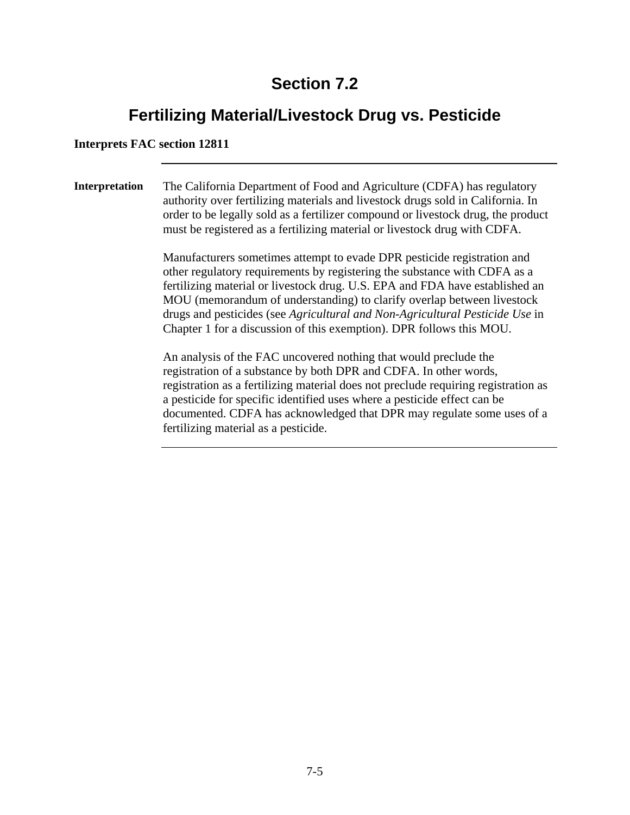## **Fertilizing Material/Livestock Drug vs. Pesticide**

#### **Interprets FAC section 12811**

**Interpretation** The California Department of Food and Agriculture (CDFA) has regulatory authority over fertilizing materials and livestock drugs sold in California. In order to be legally sold as a fertilizer compound or livestock drug, the product must be registered as a fertilizing material or livestock drug with CDFA.

> Manufacturers sometimes attempt to evade DPR pesticide registration and other regulatory requirements by registering the substance with CDFA as a fertilizing material or livestock drug. U.S. EPA and FDA have established an MOU (memorandum of understanding) to clarify overlap between livestock drugs and pesticides (see *Agricultural and Non-Agricultural Pesticide Use* in Chapter 1 for a discussion of this exemption). DPR follows this MOU.

> An analysis of the FAC uncovered nothing that would preclude the registration of a substance by both DPR and CDFA. In other words, registration as a fertilizing material does not preclude requiring registration as a pesticide for specific identified uses where a pesticide effect can be documented. CDFA has acknowledged that DPR may regulate some uses of a fertilizing material as a pesticide.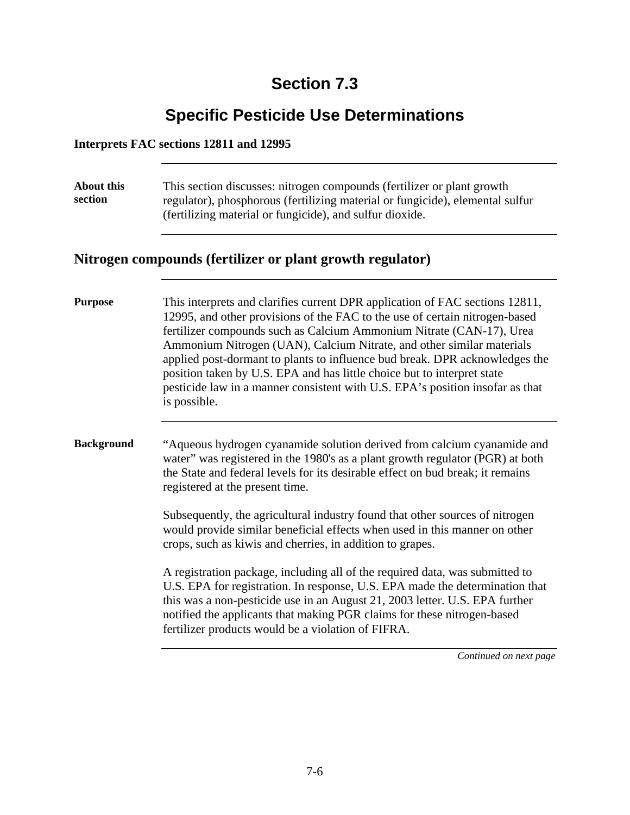## **Specific Pesticide Use Determinations**

#### **Interprets FAC sections 12811 and 12995**

| <b>About this</b><br>section                              | This section discusses: nitrogen compounds (fertilizer or plant growth<br>regulator), phosphorous (fertilizing material or fungicide), elemental sulfur<br>(fertilizing material or fungicide), and sulfur dioxide.                                                                                                                                                                                                                                                                                                                                                     |  |
|-----------------------------------------------------------|-------------------------------------------------------------------------------------------------------------------------------------------------------------------------------------------------------------------------------------------------------------------------------------------------------------------------------------------------------------------------------------------------------------------------------------------------------------------------------------------------------------------------------------------------------------------------|--|
| Nitrogen compounds (fertilizer or plant growth regulator) |                                                                                                                                                                                                                                                                                                                                                                                                                                                                                                                                                                         |  |
| <b>Purpose</b>                                            | This interprets and clarifies current DPR application of FAC sections 12811,<br>12995, and other provisions of the FAC to the use of certain nitrogen-based<br>fertilizer compounds such as Calcium Ammonium Nitrate (CAN-17), Urea<br>Ammonium Nitrogen (UAN), Calcium Nitrate, and other similar materials<br>applied post-dormant to plants to influence bud break. DPR acknowledges the<br>position taken by U.S. EPA and has little choice but to interpret state<br>pesticide law in a manner consistent with U.S. EPA's position insofar as that<br>is possible. |  |
| <b>Background</b>                                         | "Aqueous hydrogen cyanamide solution derived from calcium cyanamide and<br>water" was registered in the 1980's as a plant growth regulator (PGR) at both<br>the State and federal levels for its desirable effect on bud break; it remains<br>registered at the present time.                                                                                                                                                                                                                                                                                           |  |
|                                                           | Subsequently, the agricultural industry found that other sources of nitrogen<br>would provide similar beneficial effects when used in this manner on other<br>crops, such as kiwis and cherries, in addition to grapes.                                                                                                                                                                                                                                                                                                                                                 |  |
|                                                           | A registration package, including all of the required data, was submitted to<br>U.S. EPA for registration. In response, U.S. EPA made the determination that<br>this was a non-pesticide use in an August 21, 2003 letter. U.S. EPA further<br>notified the applicants that making PGR claims for these nitrogen-based<br>fertilizer products would be a violation of FIFRA.                                                                                                                                                                                            |  |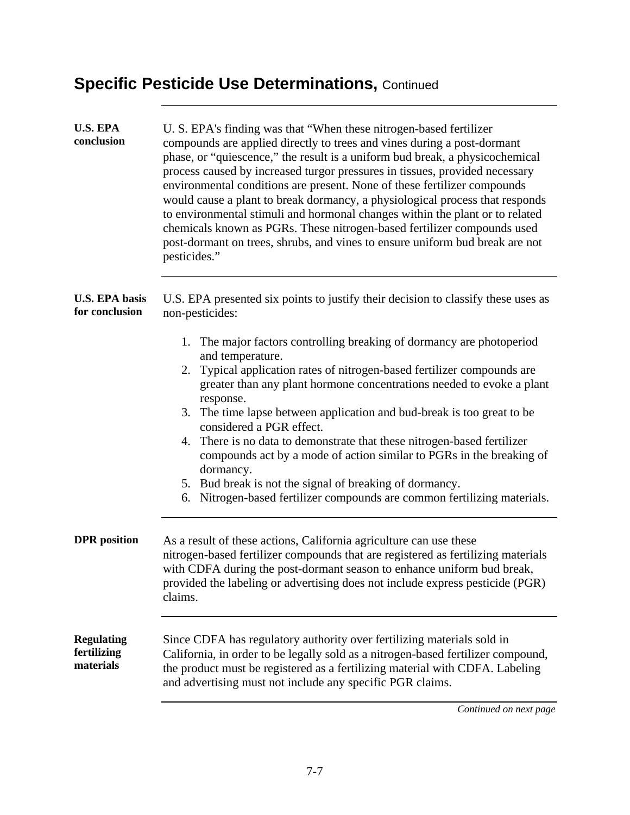| <b>U.S. EPA</b><br>conclusion                 | U. S. EPA's finding was that "When these nitrogen-based fertilizer<br>compounds are applied directly to trees and vines during a post-dormant<br>phase, or "quiescence," the result is a uniform bud break, a physicochemical<br>process caused by increased turgor pressures in tissues, provided necessary<br>environmental conditions are present. None of these fertilizer compounds<br>would cause a plant to break dormancy, a physiological process that responds<br>to environmental stimuli and hormonal changes within the plant or to related<br>chemicals known as PGRs. These nitrogen-based fertilizer compounds used<br>post-dormant on trees, shrubs, and vines to ensure uniform bud break are not<br>pesticides." |
|-----------------------------------------------|-------------------------------------------------------------------------------------------------------------------------------------------------------------------------------------------------------------------------------------------------------------------------------------------------------------------------------------------------------------------------------------------------------------------------------------------------------------------------------------------------------------------------------------------------------------------------------------------------------------------------------------------------------------------------------------------------------------------------------------|
| <b>U.S. EPA basis</b><br>for conclusion       | U.S. EPA presented six points to justify their decision to classify these uses as<br>non-pesticides:                                                                                                                                                                                                                                                                                                                                                                                                                                                                                                                                                                                                                                |
|                                               | 1. The major factors controlling breaking of dormancy are photoperiod                                                                                                                                                                                                                                                                                                                                                                                                                                                                                                                                                                                                                                                               |
|                                               | and temperature.                                                                                                                                                                                                                                                                                                                                                                                                                                                                                                                                                                                                                                                                                                                    |
|                                               | 2. Typical application rates of nitrogen-based fertilizer compounds are<br>greater than any plant hormone concentrations needed to evoke a plant<br>response.                                                                                                                                                                                                                                                                                                                                                                                                                                                                                                                                                                       |
|                                               | 3. The time lapse between application and bud-break is too great to be<br>considered a PGR effect.                                                                                                                                                                                                                                                                                                                                                                                                                                                                                                                                                                                                                                  |
|                                               | 4. There is no data to demonstrate that these nitrogen-based fertilizer<br>compounds act by a mode of action similar to PGRs in the breaking of<br>dormancy.                                                                                                                                                                                                                                                                                                                                                                                                                                                                                                                                                                        |
|                                               | 5. Bud break is not the signal of breaking of dormancy.                                                                                                                                                                                                                                                                                                                                                                                                                                                                                                                                                                                                                                                                             |
|                                               | 6. Nitrogen-based fertilizer compounds are common fertilizing materials.                                                                                                                                                                                                                                                                                                                                                                                                                                                                                                                                                                                                                                                            |
| <b>DPR</b> position                           | As a result of these actions, California agriculture can use these<br>nitrogen-based fertilizer compounds that are registered as fertilizing materials<br>with CDFA during the post-dormant season to enhance uniform bud break,<br>provided the labeling or advertising does not include express pesticide (PGR)<br>claims.                                                                                                                                                                                                                                                                                                                                                                                                        |
| <b>Regulating</b><br>fertilizing<br>materials | Since CDFA has regulatory authority over fertilizing materials sold in<br>California, in order to be legally sold as a nitrogen-based fertilizer compound,<br>the product must be registered as a fertilizing material with CDFA. Labeling<br>and advertising must not include any specific PGR claims.                                                                                                                                                                                                                                                                                                                                                                                                                             |
|                                               | Continued on next page                                                                                                                                                                                                                                                                                                                                                                                                                                                                                                                                                                                                                                                                                                              |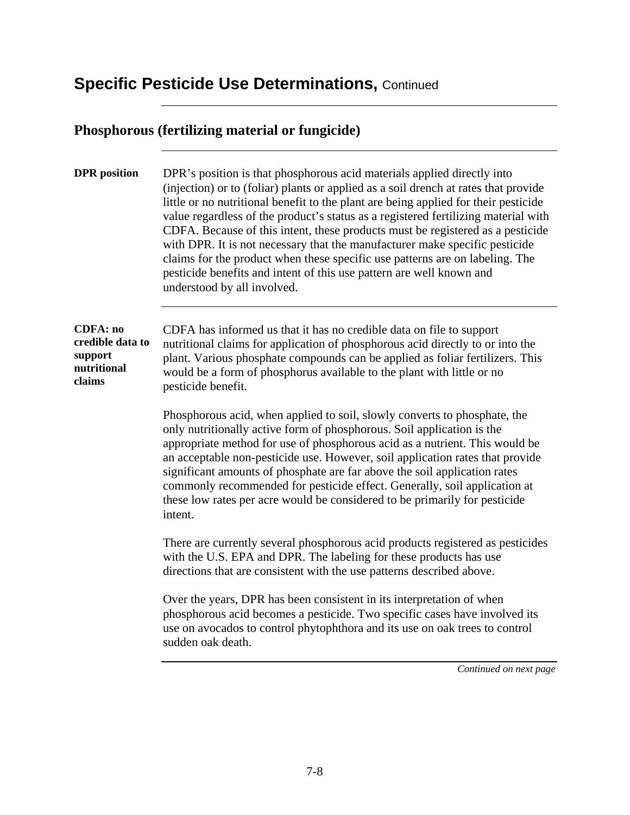#### **Phosphorous (fertilizing material or fungicide)**

**DPR** position DPR's position is that phosphorous acid materials applied directly into (injection) or to (foliar) plants or applied as a soil drench at rates that provide little or no nutritional benefit to the plant are being applied for their pesticide value regardless of the product's status as a registered fertilizing material with CDFA. Because of this intent, these products must be registered as a pesticide with DPR. It is not necessary that the manufacturer make specific pesticide claims for the product when these specific use patterns are on labeling. The pesticide benefits and intent of this use pattern are well known and understood by all involved.

#### **CDFA: no credible data to support nutritional claims**

CDFA has informed us that it has no credible data on file to support nutritional claims for application of phosphorous acid directly to or into the plant. Various phosphate compounds can be applied as foliar fertilizers. This would be a form of phosphorus available to the plant with little or no pesticide benefit.

Phosphorous acid, when applied to soil, slowly converts to phosphate, the only nutritionally active form of phosphorous. Soil application is the appropriate method for use of phosphorous acid as a nutrient. This would be an acceptable non-pesticide use. However, soil application rates that provide significant amounts of phosphate are far above the soil application rates commonly recommended for pesticide effect. Generally, soil application at these low rates per acre would be considered to be primarily for pesticide intent.

There are currently several phosphorous acid products registered as pesticides with the U.S. EPA and DPR. The labeling for these products has use directions that are consistent with the use patterns described above.

Over the years, DPR has been consistent in its interpretation of when phosphorous acid becomes a pesticide. Two specific cases have involved its use on avocados to control phytophthora and its use on oak trees to control sudden oak death.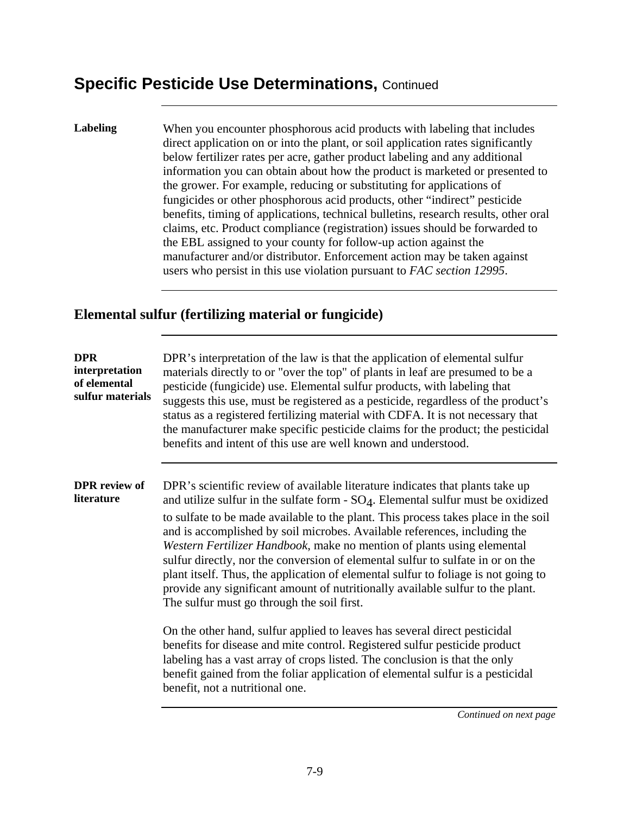**Labeling** When you encounter phosphorous acid products with labeling that includes direct application on or into the plant, or soil application rates significantly below fertilizer rates per acre, gather product labeling and any additional information you can obtain about how the product is marketed or presented to the grower. For example, reducing or substituting for applications of fungicides or other phosphorous acid products, other "indirect" pesticide benefits, timing of applications, technical bulletins, research results, other oral claims, etc. Product compliance (registration) issues should be forwarded to the EBL assigned to your county for follow-up action against the manufacturer and/or distributor. Enforcement action may be taken against users who persist in this use violation pursuant to *FAC section 12995*.

#### **Elemental sulfur (fertilizing material or fungicide)**

| <b>DPR</b><br>interpretation<br>of elemental<br>sulfur materials | DPR's interpretation of the law is that the application of elemental sulfur<br>materials directly to or "over the top" of plants in leaf are presumed to be a<br>pesticide (fungicide) use. Elemental sulfur products, with labeling that<br>suggests this use, must be registered as a pesticide, regardless of the product's<br>status as a registered fertilizing material with CDFA. It is not necessary that<br>the manufacturer make specific pesticide claims for the product; the pesticidal<br>benefits and intent of this use are well known and understood.                                                                                                                                                   |
|------------------------------------------------------------------|--------------------------------------------------------------------------------------------------------------------------------------------------------------------------------------------------------------------------------------------------------------------------------------------------------------------------------------------------------------------------------------------------------------------------------------------------------------------------------------------------------------------------------------------------------------------------------------------------------------------------------------------------------------------------------------------------------------------------|
| <b>DPR</b> review of<br>literature                               | DPR's scientific review of available literature indicates that plants take up<br>and utilize sulfur in the sulfate form $-SO4$ . Elemental sulfur must be oxidized<br>to sulfate to be made available to the plant. This process takes place in the soil<br>and is accomplished by soil microbes. Available references, including the<br>Western Fertilizer Handbook, make no mention of plants using elemental<br>sulfur directly, nor the conversion of elemental sulfur to sulfate in or on the<br>plant itself. Thus, the application of elemental sulfur to foliage is not going to<br>provide any significant amount of nutritionally available sulfur to the plant.<br>The sulfur must go through the soil first. |
|                                                                  | On the other hand, sulfur applied to leaves has several direct pesticidal<br>benefits for disease and mite control. Registered sulfur pesticide product<br>labeling has a vast array of crops listed. The conclusion is that the only<br>benefit gained from the foliar application of elemental sulfur is a pesticidal<br>benefit, not a nutritional one.                                                                                                                                                                                                                                                                                                                                                               |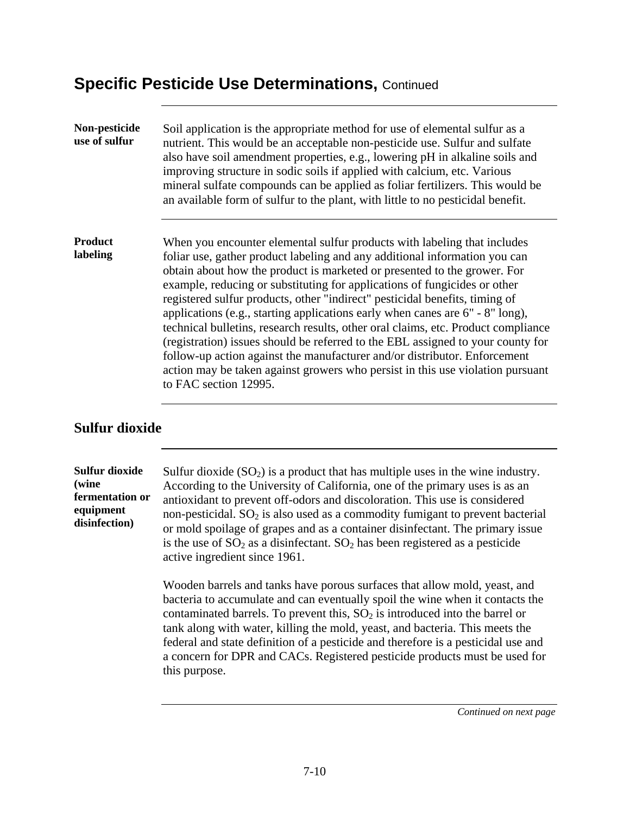| Non-pesticide<br>use of sulfur | Soil application is the appropriate method for use of elemental sulfur as a<br>nutrient. This would be an acceptable non-pesticide use. Sulfur and sulfate<br>also have soil amendment properties, e.g., lowering pH in alkaline soils and<br>improving structure in sodic soils if applied with calcium, etc. Various<br>mineral sulfate compounds can be applied as foliar fertilizers. This would be<br>an available form of sulfur to the plant, with little to no pesticidal benefit.                                                                                                                                                                                                                                                                                                                                                        |  |
|--------------------------------|---------------------------------------------------------------------------------------------------------------------------------------------------------------------------------------------------------------------------------------------------------------------------------------------------------------------------------------------------------------------------------------------------------------------------------------------------------------------------------------------------------------------------------------------------------------------------------------------------------------------------------------------------------------------------------------------------------------------------------------------------------------------------------------------------------------------------------------------------|--|
| <b>Product</b><br>labeling     | When you encounter elemental sulfur products with labeling that includes<br>foliar use, gather product labeling and any additional information you can<br>obtain about how the product is marketed or presented to the grower. For<br>example, reducing or substituting for applications of fungicides or other<br>registered sulfur products, other "indirect" pesticidal benefits, timing of<br>applications (e.g., starting applications early when canes are $6" - 8"$ long),<br>technical bulletins, research results, other oral claims, etc. Product compliance<br>(registration) issues should be referred to the EBL assigned to your county for<br>follow-up action against the manufacturer and/or distributor. Enforcement<br>action may be taken against growers who persist in this use violation pursuant<br>to FAC section 12995. |  |

#### **Sulfur dioxide**

| <b>Sulfur dioxide</b><br>(wine<br>fermentation or<br>equipment<br>disinfection) | Sulfur dioxide $(SO_2)$ is a product that has multiple uses in the wine industry.<br>According to the University of California, one of the primary uses is as an<br>antioxidant to prevent off-odors and discoloration. This use is considered<br>non-pesticidal. SO <sub>2</sub> is also used as a commodity fumigant to prevent bacterial<br>or mold spoilage of grapes and as a container disinfectant. The primary issue<br>is the use of $SO_2$ as a disinfectant. $SO_2$ has been registered as a pesticide<br>active ingredient since 1961. |
|---------------------------------------------------------------------------------|----------------------------------------------------------------------------------------------------------------------------------------------------------------------------------------------------------------------------------------------------------------------------------------------------------------------------------------------------------------------------------------------------------------------------------------------------------------------------------------------------------------------------------------------------|
|                                                                                 | Wooden barrels and tanks have porous surfaces that allow mold, yeast, and<br>bacteria to accumulate and can eventually spoil the wine when it contacts the<br>contaminated barrels. To prevent this, $SO2$ is introduced into the barrel or<br>tank along with water, killing the mold, yeast, and bacteria. This meets the<br>federal and state definition of a pesticide and therefore is a pesticidal use and<br>a concern for DPR and CACs. Registered pesticide products must be used for<br>this purpose.                                    |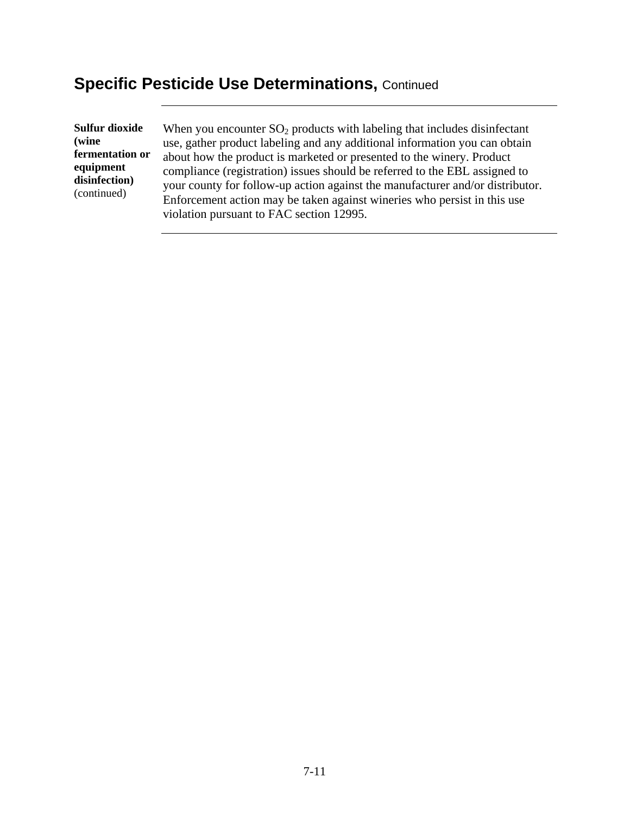**Sulfur dioxide (wine fermentation or equipment disinfection)**  (continued)

When you encounter  $SO_2$  products with labeling that includes disinfectant use, gather product labeling and any additional information you can obtain about how the product is marketed or presented to the winery. Product compliance (registration) issues should be referred to the EBL assigned to your county for follow-up action against the manufacturer and/or distributor. Enforcement action may be taken against wineries who persist in this use violation pursuant to FAC section 12995.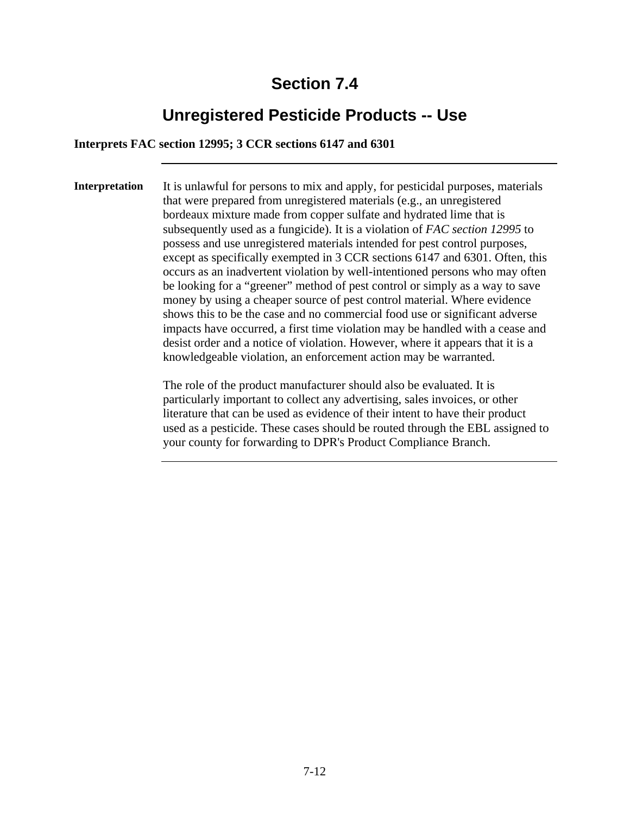### **Unregistered Pesticide Products -- Use**

**Interprets FAC section 12995; 3 CCR sections 6147 and 6301** 

**Interpretation** It is unlawful for persons to mix and apply, for pesticidal purposes, materials that were prepared from unregistered materials (e.g., an unregistered bordeaux mixture made from copper sulfate and hydrated lime that is subsequently used as a fungicide). It is a violation of *FAC section 12995* to possess and use unregistered materials intended for pest control purposes, except as specifically exempted in 3 CCR sections 6147 and 6301. Often, this occurs as an inadvertent violation by well-intentioned persons who may often be looking for a "greener" method of pest control or simply as a way to save money by using a cheaper source of pest control material. Where evidence shows this to be the case and no commercial food use or significant adverse impacts have occurred, a first time violation may be handled with a cease and desist order and a notice of violation. However, where it appears that it is a knowledgeable violation, an enforcement action may be warranted.

> The role of the product manufacturer should also be evaluated. It is particularly important to collect any advertising, sales invoices, or other literature that can be used as evidence of their intent to have their product used as a pesticide. These cases should be routed through the EBL assigned to your county for forwarding to DPR's Product Compliance Branch.